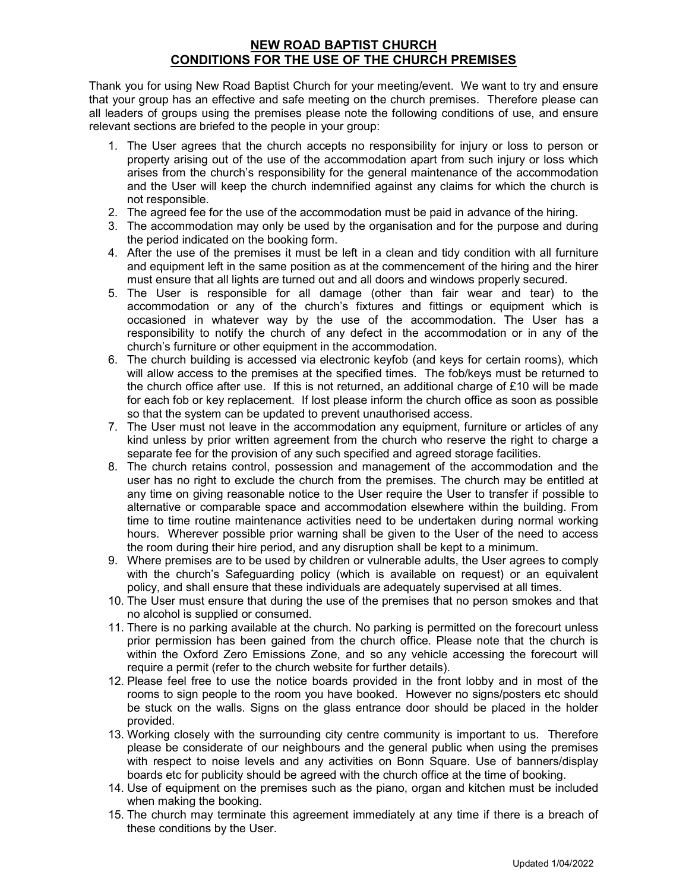# NEW ROAD BAPTIST CHURCH CONDITIONS FOR THE USE OF THE CHURCH PREMISES

Thank you for using New Road Baptist Church for your meeting/event. We want to try and ensure that your group has an effective and safe meeting on the church premises. Therefore please can all leaders of groups using the premises please note the following conditions of use, and ensure relevant sections are briefed to the people in your group:

- 1. The User agrees that the church accepts no responsibility for injury or loss to person or property arising out of the use of the accommodation apart from such injury or loss which arises from the church's responsibility for the general maintenance of the accommodation and the User will keep the church indemnified against any claims for which the church is not responsible.
- 2. The agreed fee for the use of the accommodation must be paid in advance of the hiring.
- 3. The accommodation may only be used by the organisation and for the purpose and during the period indicated on the booking form.
- 4. After the use of the premises it must be left in a clean and tidy condition with all furniture and equipment left in the same position as at the commencement of the hiring and the hirer must ensure that all lights are turned out and all doors and windows properly secured.
- 5. The User is responsible for all damage (other than fair wear and tear) to the accommodation or any of the church's fixtures and fittings or equipment which is occasioned in whatever way by the use of the accommodation. The User has a responsibility to notify the church of any defect in the accommodation or in any of the church's furniture or other equipment in the accommodation.
- 6. The church building is accessed via electronic keyfob (and keys for certain rooms), which will allow access to the premises at the specified times. The fob/keys must be returned to the church office after use. If this is not returned, an additional charge of £10 will be made for each fob or key replacement. If lost please inform the church office as soon as possible so that the system can be updated to prevent unauthorised access.
- 7. The User must not leave in the accommodation any equipment, furniture or articles of any kind unless by prior written agreement from the church who reserve the right to charge a separate fee for the provision of any such specified and agreed storage facilities.
- 8. The church retains control, possession and management of the accommodation and the user has no right to exclude the church from the premises. The church may be entitled at any time on giving reasonable notice to the User require the User to transfer if possible to alternative or comparable space and accommodation elsewhere within the building. From time to time routine maintenance activities need to be undertaken during normal working hours. Wherever possible prior warning shall be given to the User of the need to access the room during their hire period, and any disruption shall be kept to a minimum.
- 9. Where premises are to be used by children or vulnerable adults, the User agrees to comply with the church's Safeguarding policy (which is available on request) or an equivalent policy, and shall ensure that these individuals are adequately supervised at all times.
- 10. The User must ensure that during the use of the premises that no person smokes and that no alcohol is supplied or consumed.
- 11. There is no parking available at the church. No parking is permitted on the forecourt unless prior permission has been gained from the church office. Please note that the church is within the Oxford Zero Emissions Zone, and so any vehicle accessing the forecourt will require a permit (refer to the church website for further details).
- 12. Please feel free to use the notice boards provided in the front lobby and in most of the rooms to sign people to the room you have booked. However no signs/posters etc should be stuck on the walls. Signs on the glass entrance door should be placed in the holder provided.
- 13. Working closely with the surrounding city centre community is important to us. Therefore please be considerate of our neighbours and the general public when using the premises with respect to noise levels and any activities on Bonn Square. Use of banners/display boards etc for publicity should be agreed with the church office at the time of booking.
- 14. Use of equipment on the premises such as the piano, organ and kitchen must be included when making the booking.
- 15. The church may terminate this agreement immediately at any time if there is a breach of these conditions by the User.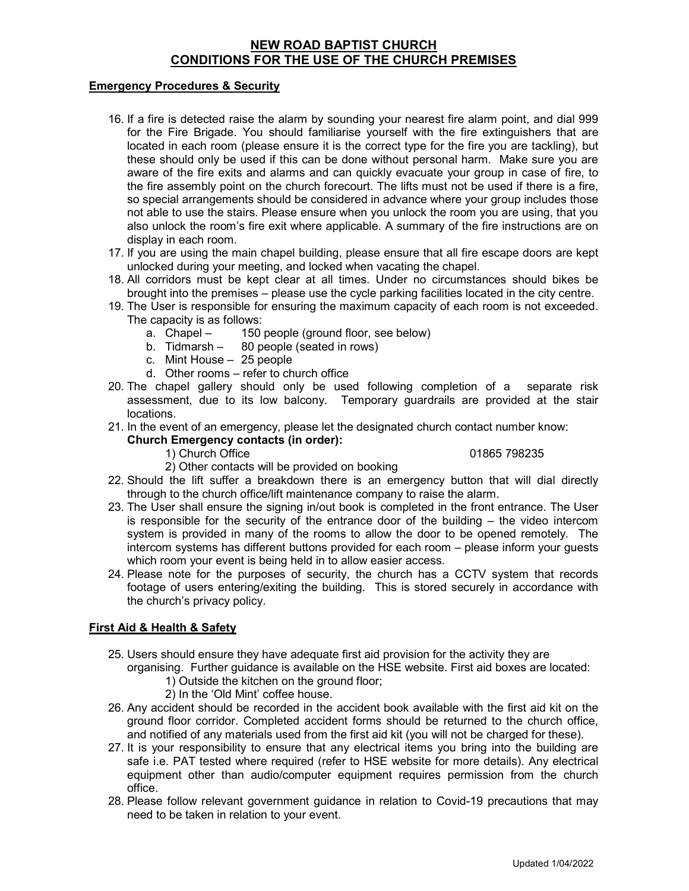# NEW ROAD BAPTIST CHURCH CONDITIONS FOR THE USE OF THE CHURCH PREMISES

#### Emergency Procedures & Security

- 16. If a fire is detected raise the alarm by sounding your nearest fire alarm point, and dial 999 for the Fire Brigade. You should familiarise yourself with the fire extinguishers that are located in each room (please ensure it is the correct type for the fire you are tackling), but these should only be used if this can be done without personal harm. Make sure you are aware of the fire exits and alarms and can quickly evacuate your group in case of fire, to the fire assembly point on the church forecourt. The lifts must not be used if there is a fire, so special arrangements should be considered in advance where your group includes those not able to use the stairs. Please ensure when you unlock the room you are using, that you also unlock the room's fire exit where applicable. A summary of the fire instructions are on display in each room.
- 17. If you are using the main chapel building, please ensure that all fire escape doors are kept unlocked during your meeting, and locked when vacating the chapel.
- 18. All corridors must be kept clear at all times. Under no circumstances should bikes be brought into the premises – please use the cycle parking facilities located in the city centre.
- 19. The User is responsible for ensuring the maximum capacity of each room is not exceeded. The capacity is as follows:
	- a. Chapel 150 people (ground floor, see below)
	- b. Tidmarsh 80 people (seated in rows)
	- c. Mint House 25 people
	- d. Other rooms refer to church office
- 20. The chapel gallery should only be used following completion of a separate risk assessment, due to its low balcony. Temporary guardrails are provided at the stair locations.
- 21. In the event of an emergency, please let the designated church contact number know:

#### Church Emergency contacts (in order):

1) Church Office 01865 798235

- 2) Other contacts will be provided on booking
- 22. Should the lift suffer a breakdown there is an emergency button that will dial directly through to the church office/lift maintenance company to raise the alarm.
- 23. The User shall ensure the signing in/out book is completed in the front entrance. The User is responsible for the security of the entrance door of the building  $-$  the video intercom system is provided in many of the rooms to allow the door to be opened remotely. The intercom systems has different buttons provided for each room – please inform your guests which room your event is being held in to allow easier access.
- 24. Please note for the purposes of security, the church has a CCTV system that records footage of users entering/exiting the building. This is stored securely in accordance with the church's privacy policy.

#### First Aid & Health & Safety

25. Users should ensure they have adequate first aid provision for the activity they are

organising. Further guidance is available on the HSE website. First aid boxes are located:

- 1) Outside the kitchen on the ground floor;
- 2) In the 'Old Mint' coffee house.
- 26. Any accident should be recorded in the accident book available with the first aid kit on the ground floor corridor. Completed accident forms should be returned to the church office, and notified of any materials used from the first aid kit (you will not be charged for these).
- 27. It is your responsibility to ensure that any electrical items you bring into the building are safe i.e. PAT tested where required (refer to HSE website for more details). Any electrical equipment other than audio/computer equipment requires permission from the church office.
- 28. Please follow relevant government guidance in relation to Covid-19 precautions that may need to be taken in relation to your event.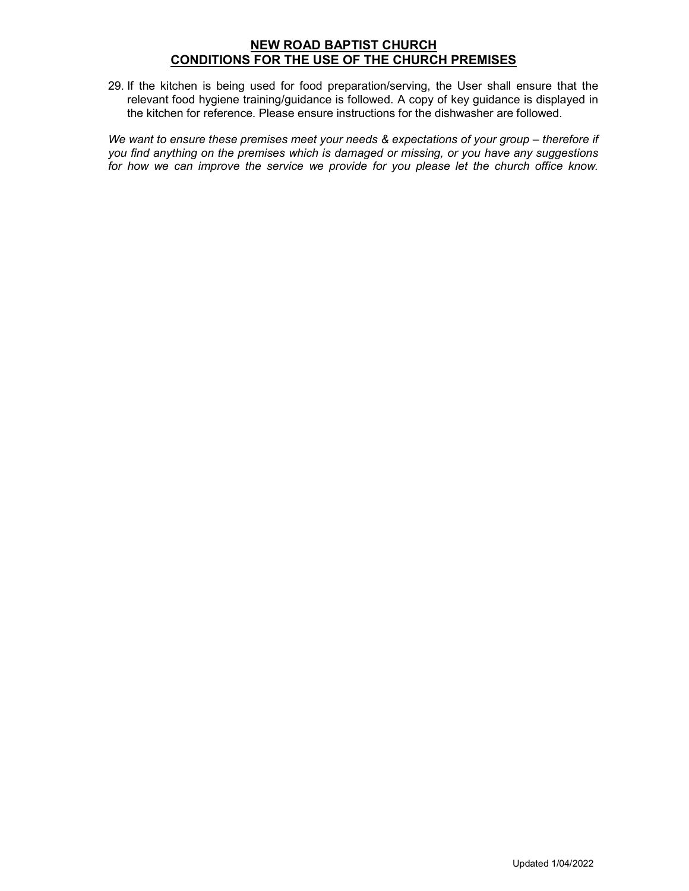# NEW ROAD BAPTIST CHURCH CONDITIONS FOR THE USE OF THE CHURCH PREMISES

29. If the kitchen is being used for food preparation/serving, the User shall ensure that the relevant food hygiene training/guidance is followed. A copy of key guidance is displayed in the kitchen for reference. Please ensure instructions for the dishwasher are followed.

We want to ensure these premises meet your needs & expectations of your group – therefore if you find anything on the premises which is damaged or missing, or you have any suggestions for how we can improve the service we provide for you please let the church office know.